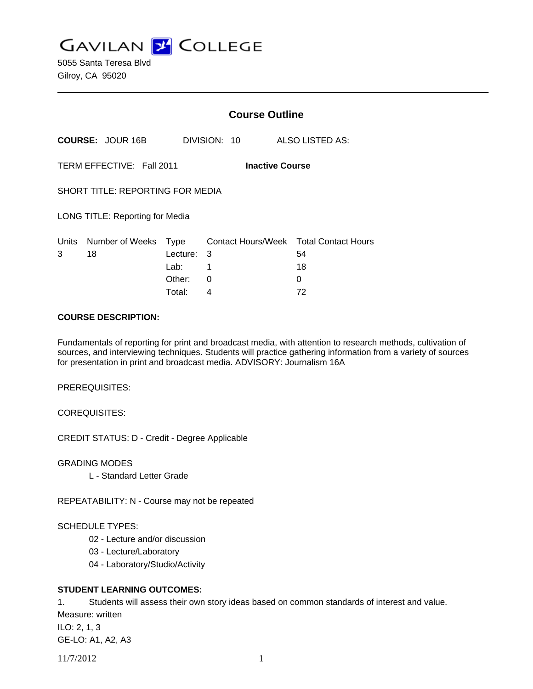**GAVILAN Z COLLEGE** 

5055 Santa Teresa Blvd Gilroy, CA 95020

|                           |                                  | <b>Course Outline</b>                 |              |                                                         |  |
|---------------------------|----------------------------------|---------------------------------------|--------------|---------------------------------------------------------|--|
|                           | <b>COURSE: JOUR 16B</b>          |                                       | DIVISION: 10 | ALSO LISTED AS:                                         |  |
| TERM EFFECTIVE: Fall 2011 |                                  |                                       |              | <b>Inactive Course</b>                                  |  |
|                           | SHORT TITLE: REPORTING FOR MEDIA |                                       |              |                                                         |  |
|                           | LONG TITLE: Reporting for Media  |                                       |              |                                                         |  |
| Units<br>3                | Number of Weeks<br>18            | Type<br>Lecture:<br>Lab: __<br>Other: | 3<br>1<br>0  | Contact Hours/Week Total Contact Hours<br>54<br>18<br>0 |  |
|                           |                                  | Total:                                | 4            | 72                                                      |  |

#### **COURSE DESCRIPTION:**

Fundamentals of reporting for print and broadcast media, with attention to research methods, cultivation of sources, and interviewing techniques. Students will practice gathering information from a variety of sources for presentation in print and broadcast media. ADVISORY: Journalism 16A

PREREQUISITES:

COREQUISITES:

CREDIT STATUS: D - Credit - Degree Applicable

GRADING MODES

L - Standard Letter Grade

REPEATABILITY: N - Course may not be repeated

## SCHEDULE TYPES:

- 02 Lecture and/or discussion
- 03 Lecture/Laboratory
- 04 Laboratory/Studio/Activity

# **STUDENT LEARNING OUTCOMES:**

1. Students will assess their own story ideas based on common standards of interest and value.

Measure: written ILO: 2, 1, 3 GE-LO: A1, A2, A3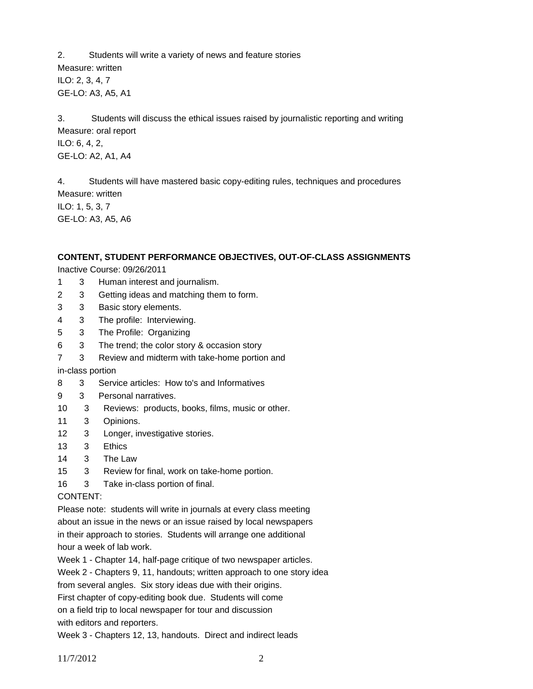2. Students will write a variety of news and feature stories Measure: written ILO: 2, 3, 4, 7 GE-LO: A3, A5, A1

3. Students will discuss the ethical issues raised by journalistic reporting and writing Measure: oral report ILO: 6, 4, 2, GE-LO: A2, A1, A4

4. Students will have mastered basic copy-editing rules, techniques and procedures Measure: written ILO: 1, 5, 3, 7 GE-LO: A3, A5, A6

#### **CONTENT, STUDENT PERFORMANCE OBJECTIVES, OUT-OF-CLASS ASSIGNMENTS**

Inactive Course: 09/26/2011

- 1 3 Human interest and journalism.
- 2 3 Getting ideas and matching them to form.
- 3 3 Basic story elements.
- 4 3 The profile: Interviewing.
- 5 3 The Profile: Organizing
- 6 3 The trend; the color story & occasion story
- 7 3 Review and midterm with take-home portion and

in-class portion

- 8 3 Service articles: How to's and Informatives
- 9 3 Personal narratives.
- 10 3 Reviews: products, books, films, music or other.
- 11 3 Opinions.
- 12 3 Longer, investigative stories.
- 13 3 Ethics
- 14 3 The Law
- 15 3 Review for final, work on take-home portion.
- 16 3 Take in-class portion of final.

#### CONTENT:

Please note: students will write in journals at every class meeting about an issue in the news or an issue raised by local newspapers in their approach to stories. Students will arrange one additional hour a week of lab work.

Week 1 - Chapter 14, half-page critique of two newspaper articles.

Week 2 - Chapters 9, 11, handouts; written approach to one story idea

from several angles. Six story ideas due with their origins.

First chapter of copy-editing book due. Students will come

on a field trip to local newspaper for tour and discussion with editors and reporters.

Week 3 - Chapters 12, 13, handouts. Direct and indirect leads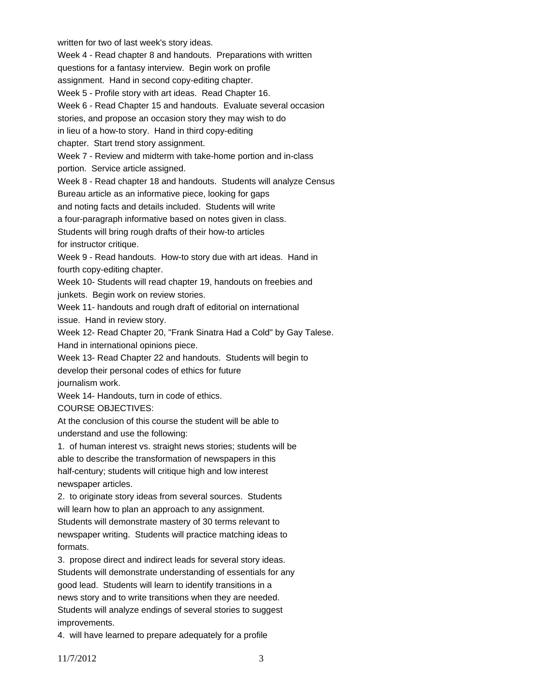Week 4 - Read chapter 8 and handouts. Preparations with written questions for a fantasy interview. Begin work on profile assignment. Hand in second copy-editing chapter. Week 5 - Profile story with art ideas. Read Chapter 16. Week 6 - Read Chapter 15 and handouts. Evaluate several occasion stories, and propose an occasion story they may wish to do in lieu of a how-to story. Hand in third copy-editing chapter. Start trend story assignment. Week 7 - Review and midterm with take-home portion and in-class portion. Service article assigned. Week 8 - Read chapter 18 and handouts. Students will analyze Census Bureau article as an informative piece, looking for gaps and noting facts and details included. Students will write a four-paragraph informative based on notes given in class. Students will bring rough drafts of their how-to articles for instructor critique. Week 9 - Read handouts. How-to story due with art ideas. Hand in fourth copy-editing chapter. Week 10- Students will read chapter 19, handouts on freebies and junkets. Begin work on review stories. Week 11- handouts and rough draft of editorial on international issue. Hand in review story. Week 12- Read Chapter 20, "Frank Sinatra Had a Cold" by Gay Talese. Hand in international opinions piece. Week 13- Read Chapter 22 and handouts. Students will begin to develop their personal codes of ethics for future journalism work. Week 14- Handouts, turn in code of ethics. COURSE OBJECTIVES: At the conclusion of this course the student will be able to understand and use the following: 1. of human interest vs. straight news stories; students will be able to describe the transformation of newspapers in this half-century; students will critique high and low interest newspaper articles. 2. to originate story ideas from several sources. Students will learn how to plan an approach to any assignment. Students will demonstrate mastery of 30 terms relevant to newspaper writing. Students will practice matching ideas to formats. 3. propose direct and indirect leads for several story ideas. Students will demonstrate understanding of essentials for any good lead. Students will learn to identify transitions in a news story and to write transitions when they are needed. Students will analyze endings of several stories to suggest improvements.

written for two of last week's story ideas.

4. will have learned to prepare adequately for a profile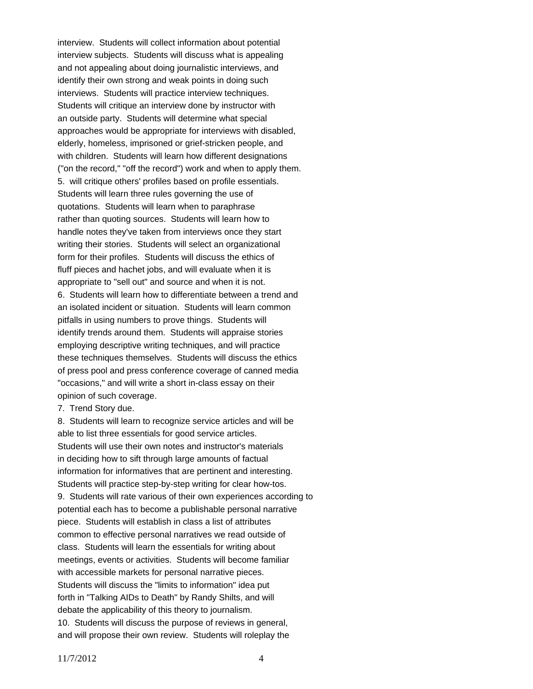interview. Students will collect information about potential interview subjects. Students will discuss what is appealing and not appealing about doing journalistic interviews, and identify their own strong and weak points in doing such interviews. Students will practice interview techniques. Students will critique an interview done by instructor with an outside party. Students will determine what special approaches would be appropriate for interviews with disabled, elderly, homeless, imprisoned or grief-stricken people, and with children. Students will learn how different designations ("on the record," "off the record") work and when to apply them. 5. will critique others' profiles based on profile essentials. Students will learn three rules governing the use of quotations. Students will learn when to paraphrase rather than quoting sources. Students will learn how to handle notes they've taken from interviews once they start writing their stories. Students will select an organizational form for their profiles. Students will discuss the ethics of fluff pieces and hachet jobs, and will evaluate when it is appropriate to "sell out" and source and when it is not. 6. Students will learn how to differentiate between a trend and an isolated incident or situation. Students will learn common pitfalls in using numbers to prove things. Students will identify trends around them. Students will appraise stories employing descriptive writing techniques, and will practice these techniques themselves. Students will discuss the ethics of press pool and press conference coverage of canned media "occasions," and will write a short in-class essay on their opinion of such coverage.

7. Trend Story due.

8. Students will learn to recognize service articles and will be able to list three essentials for good service articles. Students will use their own notes and instructor's materials in deciding how to sift through large amounts of factual information for informatives that are pertinent and interesting. Students will practice step-by-step writing for clear how-tos. 9. Students will rate various of their own experiences according to potential each has to become a publishable personal narrative piece. Students will establish in class a list of attributes common to effective personal narratives we read outside of class. Students will learn the essentials for writing about meetings, events or activities. Students will become familiar with accessible markets for personal narrative pieces. Students will discuss the "limits to information" idea put forth in "Talking AIDs to Death" by Randy Shilts, and will debate the applicability of this theory to journalism. 10. Students will discuss the purpose of reviews in general, and will propose their own review. Students will roleplay the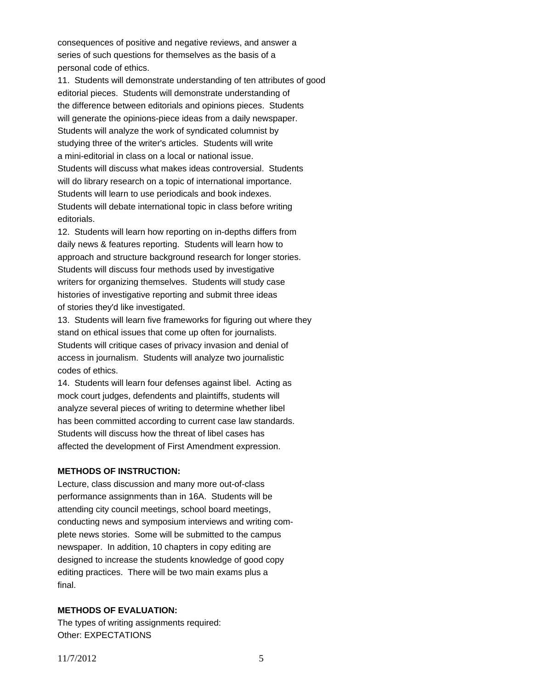consequences of positive and negative reviews, and answer a series of such questions for themselves as the basis of a personal code of ethics.

11. Students will demonstrate understanding of ten attributes of good editorial pieces. Students will demonstrate understanding of the difference between editorials and opinions pieces. Students will generate the opinions-piece ideas from a daily newspaper. Students will analyze the work of syndicated columnist by studying three of the writer's articles. Students will write a mini-editorial in class on a local or national issue. Students will discuss what makes ideas controversial. Students will do library research on a topic of international importance. Students will learn to use periodicals and book indexes. Students will debate international topic in class before writing editorials.

12. Students will learn how reporting on in-depths differs from daily news & features reporting. Students will learn how to approach and structure background research for longer stories. Students will discuss four methods used by investigative writers for organizing themselves. Students will study case histories of investigative reporting and submit three ideas of stories they'd like investigated.

13. Students will learn five frameworks for figuring out where they stand on ethical issues that come up often for journalists. Students will critique cases of privacy invasion and denial of access in journalism. Students will analyze two journalistic codes of ethics.

14. Students will learn four defenses against libel. Acting as mock court judges, defendents and plaintiffs, students will analyze several pieces of writing to determine whether libel has been committed according to current case law standards. Students will discuss how the threat of libel cases has affected the development of First Amendment expression.

## **METHODS OF INSTRUCTION:**

Lecture, class discussion and many more out-of-class performance assignments than in 16A. Students will be attending city council meetings, school board meetings, conducting news and symposium interviews and writing complete news stories. Some will be submitted to the campus newspaper. In addition, 10 chapters in copy editing are designed to increase the students knowledge of good copy editing practices. There will be two main exams plus a final.

## **METHODS OF EVALUATION:**

The types of writing assignments required: Other: EXPECTATIONS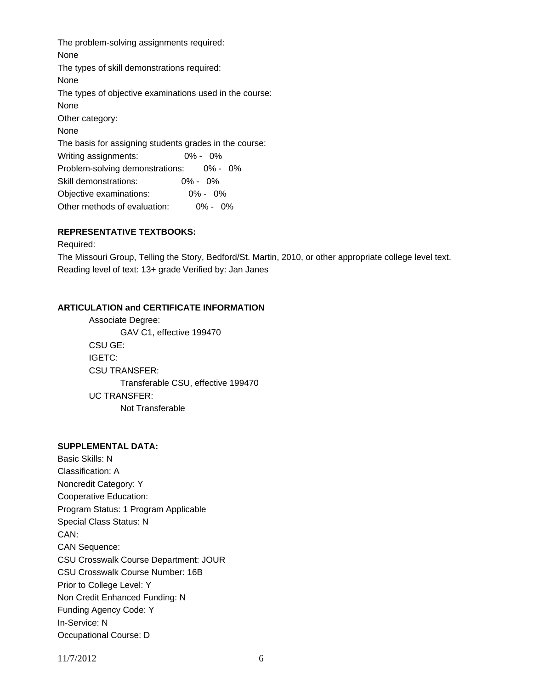The problem-solving assignments required: None The types of skill demonstrations required: None The types of objective examinations used in the course: None Other category: None The basis for assigning students grades in the course: Writing assignments: 0% - 0% Problem-solving demonstrations: 0% - 0% Skill demonstrations: 0% - 0% Objective examinations: 0% - 0% Other methods of evaluation: 0% - 0%

# **REPRESENTATIVE TEXTBOOKS:**

Required:

The Missouri Group, Telling the Story, Bedford/St. Martin, 2010, or other appropriate college level text. Reading level of text: 13+ grade Verified by: Jan Janes

#### **ARTICULATION and CERTIFICATE INFORMATION**

 Transferable CSU, effective 199470 UC TRANSFER: Not Transferable Associate Degree: GAV C1, effective 199470 CSU GE: IGETC: CSU TRANSFER:

## **SUPPLEMENTAL DATA:**

Basic Skills: N Classification: A Noncredit Category: Y Cooperative Education: Program Status: 1 Program Applicable Special Class Status: N CAN: CAN Sequence: CSU Crosswalk Course Department: JOUR CSU Crosswalk Course Number: 16B Prior to College Level: Y Non Credit Enhanced Funding: N Funding Agency Code: Y In-Service: N Occupational Course: D